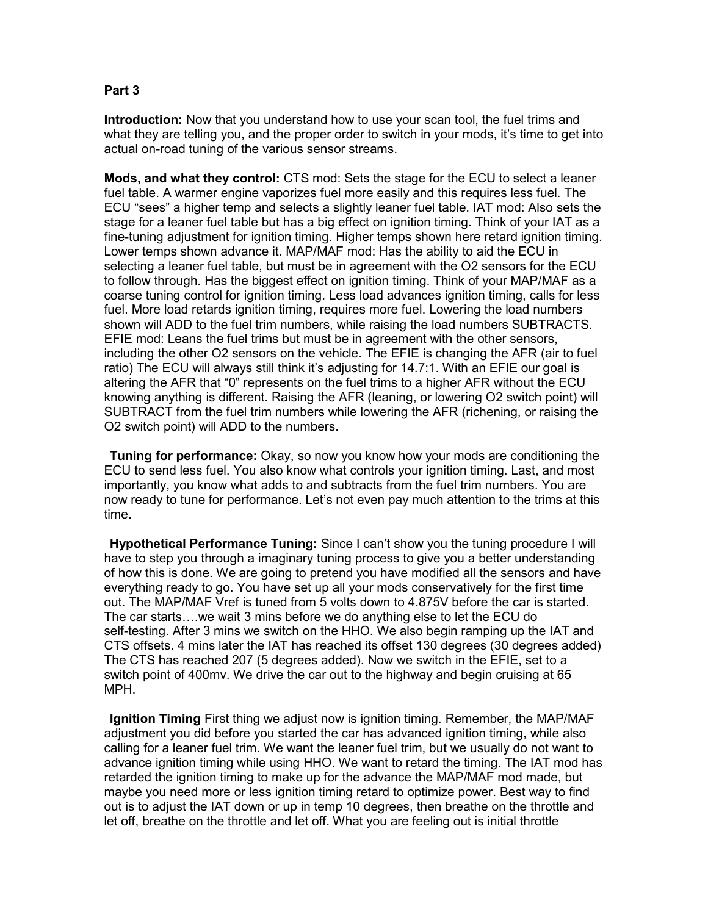# **Part 3**

**Introduction:** Now that you understand how to use your scan tool, the fuel trims and what they are telling you, and the proper order to switch in your mods, it's time to get into actual on-road tuning of the various sensor streams.

**Mods, and what they control:** CTS mod: Sets the stage for the ECU to select a leaner fuel table. A warmer engine vaporizes fuel more easily and this requires less fuel. The ECU "sees" a higher temp and selects a slightly leaner fuel table. IAT mod: Also sets the stage for a leaner fuel table but has a big effect on ignition timing. Think of your IAT as a fine-tuning adjustment for ignition timing. Higher temps shown here retard ignition timing. Lower temps shown advance it. MAP/MAF mod: Has the ability to aid the ECU in selecting a leaner fuel table, but must be in agreement with the O2 sensors for the ECU to follow through. Has the biggest effect on ignition timing. Think of your MAP/MAF as a coarse tuning control for ignition timing. Less load advances ignition timing, calls for less fuel. More load retards ignition timing, requires more fuel. Lowering the load numbers shown will ADD to the fuel trim numbers, while raising the load numbers SUBTRACTS. EFIE mod: Leans the fuel trims but must be in agreement with the other sensors, including the other O2 sensors on the vehicle. The EFIE is changing the AFR (air to fuel ratio) The ECU will always still think it's adjusting for 14.7:1. With an EFIE our goal is altering the AFR that "0" represents on the fuel trims to a higher AFR without the ECU knowing anything is different. Raising the AFR (leaning, or lowering O2 switch point) will SUBTRACT from the fuel trim numbers while lowering the AFR (richening, or raising the O2 switch point) will ADD to the numbers.

**Tuning for performance:** Okay, so now you know how your mods are conditioning the ECU to send less fuel. You also know what controls your ignition timing. Last, and most importantly, you know what adds to and subtracts from the fuel trim numbers. You are now ready to tune for performance. Let's not even pay much attention to the trims at this time.

**Hypothetical Performance Tuning:** Since I can't show you the tuning procedure I will have to step you through a imaginary tuning process to give you a better understanding of how this is done. We are going to pretend you have modified all the sensors and have everything ready to go. You have set up all your mods conservatively for the first time out. The MAP/MAF Vref is tuned from 5 volts down to 4.875V before the car is started. The car starts….we wait 3 mins before we do anything else to let the ECU do self-testing. After 3 mins we switch on the HHO. We also begin ramping up the IAT and CTS offsets. 4 mins later the IAT has reached its offset 130 degrees (30 degrees added) The CTS has reached 207 (5 degrees added). Now we switch in the EFIE, set to a switch point of 400mv. We drive the car out to the highway and begin cruising at 65 MPH.

**Ignition Timing** First thing we adjust now is ignition timing. Remember, the MAP/MAF adjustment you did before you started the car has advanced ignition timing, while also calling for a leaner fuel trim. We want the leaner fuel trim, but we usually do not want to advance ignition timing while using HHO. We want to retard the timing. The IAT mod has retarded the ignition timing to make up for the advance the MAP/MAF mod made, but maybe you need more or less ignition timing retard to optimize power. Best way to find out is to adjust the IAT down or up in temp 10 degrees, then breathe on the throttle and let off, breathe on the throttle and let off. What you are feeling out is initial throttle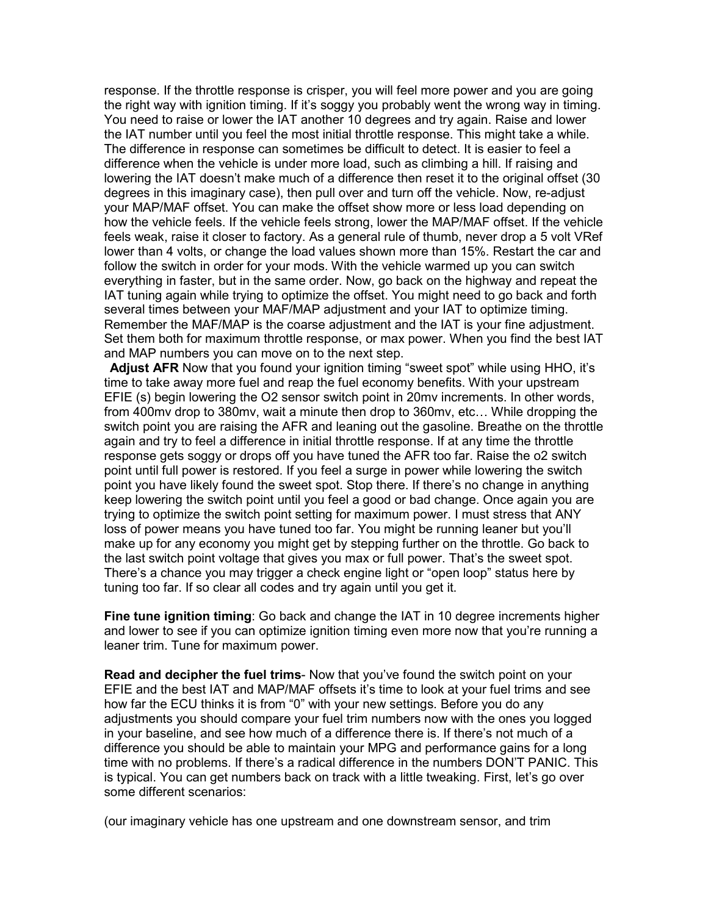response. If the throttle response is crisper, you will feel more power and you are going the right way with ignition timing. If it's soggy you probably went the wrong way in timing. You need to raise or lower the IAT another 10 degrees and try again. Raise and lower the IAT number until you feel the most initial throttle response. This might take a while. The difference in response can sometimes be difficult to detect. It is easier to feel a difference when the vehicle is under more load, such as climbing a hill. If raising and lowering the IAT doesn't make much of a difference then reset it to the original offset (30 degrees in this imaginary case), then pull over and turn off the vehicle. Now, re-adjust your MAP/MAF offset. You can make the offset show more or less load depending on how the vehicle feels. If the vehicle feels strong, lower the MAP/MAF offset. If the vehicle feels weak, raise it closer to factory. As a general rule of thumb, never drop a 5 volt VRef lower than 4 volts, or change the load values shown more than 15%. Restart the car and follow the switch in order for your mods. With the vehicle warmed up you can switch everything in faster, but in the same order. Now, go back on the highway and repeat the IAT tuning again while trying to optimize the offset. You might need to go back and forth several times between your MAF/MAP adjustment and your IAT to optimize timing. Remember the MAF/MAP is the coarse adjustment and the IAT is your fine adjustment. Set them both for maximum throttle response, or max power. When you find the best IAT and MAP numbers you can move on to the next step.

**Adjust AFR** Now that you found your ignition timing "sweet spot" while using HHO, it's time to take away more fuel and reap the fuel economy benefits. With your upstream EFIE (s) begin lowering the O2 sensor switch point in 20mv increments. In other words, from 400mv drop to 380mv, wait a minute then drop to 360mv, etc… While dropping the switch point you are raising the AFR and leaning out the gasoline. Breathe on the throttle again and try to feel a difference in initial throttle response. If at any time the throttle response gets soggy or drops off you have tuned the AFR too far. Raise the o2 switch point until full power is restored. If you feel a surge in power while lowering the switch point you have likely found the sweet spot. Stop there. If there's no change in anything keep lowering the switch point until you feel a good or bad change. Once again you are trying to optimize the switch point setting for maximum power. I must stress that ANY loss of power means you have tuned too far. You might be running leaner but you'll make up for any economy you might get by stepping further on the throttle. Go back to the last switch point voltage that gives you max or full power. That's the sweet spot. There's a chance you may trigger a check engine light or "open loop" status here by tuning too far. If so clear all codes and try again until you get it.

**Fine tune ignition timing**: Go back and change the IAT in 10 degree increments higher and lower to see if you can optimize ignition timing even more now that you're running a leaner trim. Tune for maximum power.

**Read and decipher the fuel trims**- Now that you've found the switch point on your EFIE and the best IAT and MAP/MAF offsets it's time to look at your fuel trims and see how far the ECU thinks it is from "0" with your new settings. Before you do any adjustments you should compare your fuel trim numbers now with the ones you logged in your baseline, and see how much of a difference there is. If there's not much of a difference you should be able to maintain your MPG and performance gains for a long time with no problems. If there's a radical difference in the numbers DON'T PANIC. This is typical. You can get numbers back on track with a little tweaking. First, let's go over some different scenarios:

(our imaginary vehicle has one upstream and one downstream sensor, and trim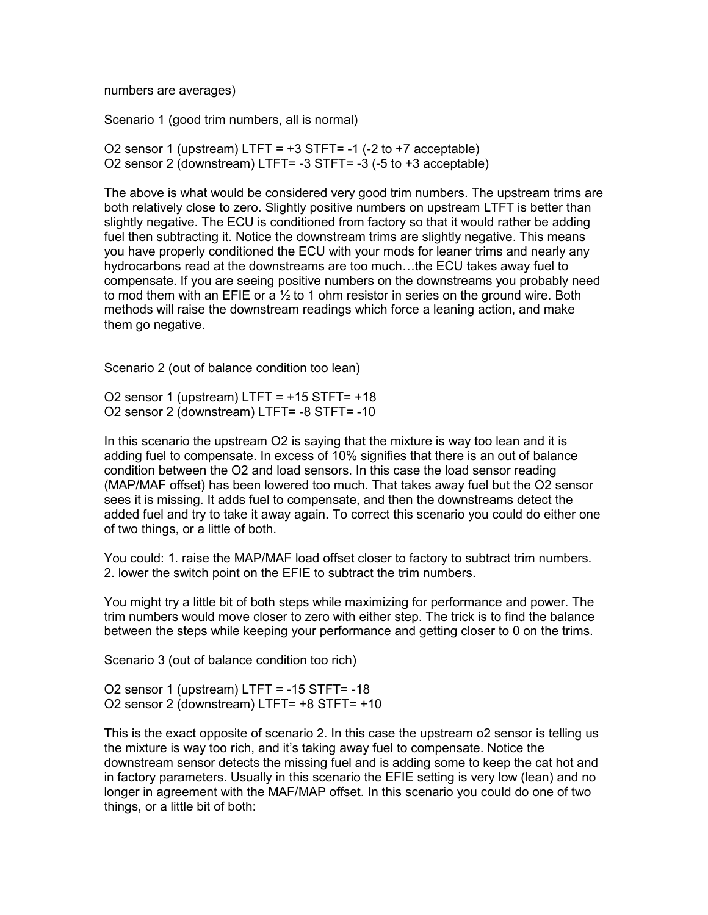numbers are averages)

Scenario 1 (good trim numbers, all is normal)

O2 sensor 1 (upstream) LTFT =  $+3$  STFT= -1 (-2 to  $+7$  acceptable) O2 sensor 2 (downstream) LTFT= -3 STFT= -3 (-5 to +3 acceptable)

The above is what would be considered very good trim numbers. The upstream trims are both relatively close to zero. Slightly positive numbers on upstream LTFT is better than slightly negative. The ECU is conditioned from factory so that it would rather be adding fuel then subtracting it. Notice the downstream trims are slightly negative. This means you have properly conditioned the ECU with your mods for leaner trims and nearly any hydrocarbons read at the downstreams are too much…the ECU takes away fuel to compensate. If you are seeing positive numbers on the downstreams you probably need to mod them with an EFIE or a  $\frac{1}{2}$  to 1 ohm resistor in series on the ground wire. Both methods will raise the downstream readings which force a leaning action, and make them go negative.

Scenario 2 (out of balance condition too lean)

O2 sensor 1 (upstream)  $LTFT = +15 STFT = +18$ O2 sensor 2 (downstream) LTFT= -8 STFT= -10

In this scenario the upstream O2 is saying that the mixture is way too lean and it is adding fuel to compensate. In excess of 10% signifies that there is an out of balance condition between the O2 and load sensors. In this case the load sensor reading (MAP/MAF offset) has been lowered too much. That takes away fuel but the O2 sensor sees it is missing. It adds fuel to compensate, and then the downstreams detect the added fuel and try to take it away again. To correct this scenario you could do either one of two things, or a little of both.

You could: 1. raise the MAP/MAF load offset closer to factory to subtract trim numbers. 2. lower the switch point on the EFIE to subtract the trim numbers.

You might try a little bit of both steps while maximizing for performance and power. The trim numbers would move closer to zero with either step. The trick is to find the balance between the steps while keeping your performance and getting closer to 0 on the trims.

Scenario 3 (out of balance condition too rich)

O2 sensor 1 (upstream) LTFT = -15 STFT= -18 O2 sensor 2 (downstream) LTFT= +8 STFT= +10

This is the exact opposite of scenario 2. In this case the upstream o2 sensor is telling us the mixture is way too rich, and it's taking away fuel to compensate. Notice the downstream sensor detects the missing fuel and is adding some to keep the cat hot and in factory parameters. Usually in this scenario the EFIE setting is very low (lean) and no longer in agreement with the MAF/MAP offset. In this scenario you could do one of two things, or a little bit of both: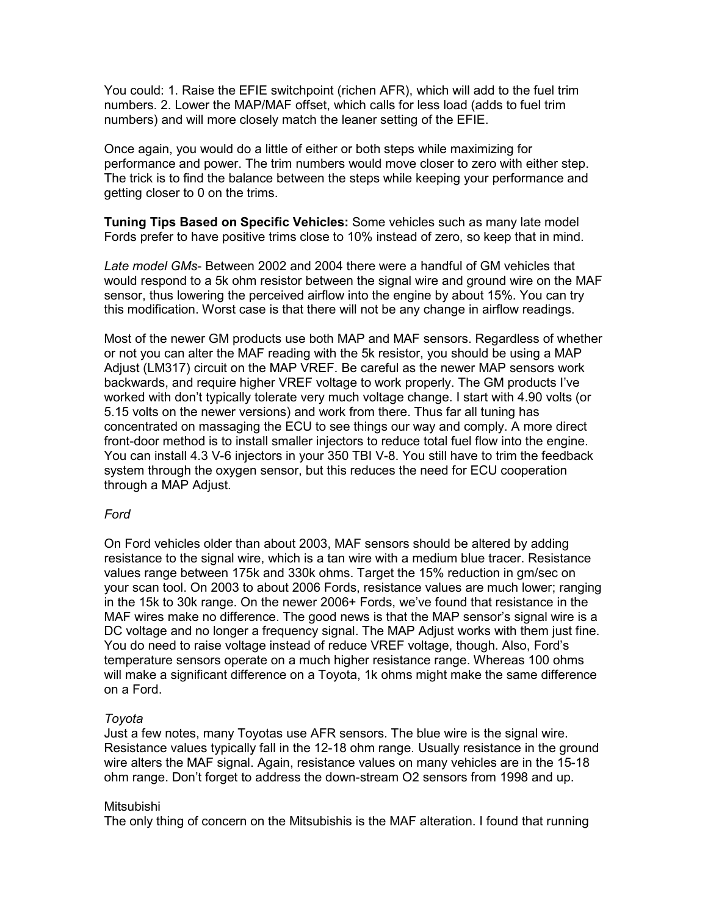You could: 1. Raise the EFIE switchpoint (richen AFR), which will add to the fuel trim numbers. 2. Lower the MAP/MAF offset, which calls for less load (adds to fuel trim numbers) and will more closely match the leaner setting of the EFIE.

Once again, you would do a little of either or both steps while maximizing for performance and power. The trim numbers would move closer to zero with either step. The trick is to find the balance between the steps while keeping your performance and getting closer to 0 on the trims.

**Tuning Tips Based on Specific Vehicles:** Some vehicles such as many late model Fords prefer to have positive trims close to 10% instead of zero, so keep that in mind.

*Late model GMs*- Between 2002 and 2004 there were a handful of GM vehicles that would respond to a 5k ohm resistor between the signal wire and ground wire on the MAF sensor, thus lowering the perceived airflow into the engine by about 15%. You can try this modification. Worst case is that there will not be any change in airflow readings.

Most of the newer GM products use both MAP and MAF sensors. Regardless of whether or not you can alter the MAF reading with the 5k resistor, you should be using a MAP Adjust (LM317) circuit on the MAP VREF. Be careful as the newer MAP sensors work backwards, and require higher VREF voltage to work properly. The GM products I've worked with don't typically tolerate very much voltage change. I start with 4.90 volts (or 5.15 volts on the newer versions) and work from there. Thus far all tuning has concentrated on massaging the ECU to see things our way and comply. A more direct front-door method is to install smaller injectors to reduce total fuel flow into the engine. You can install 4.3 V-6 injectors in your 350 TBI V-8. You still have to trim the feedback system through the oxygen sensor, but this reduces the need for ECU cooperation through a MAP Adjust.

# *Ford*

On Ford vehicles older than about 2003, MAF sensors should be altered by adding resistance to the signal wire, which is a tan wire with a medium blue tracer. Resistance values range between 175k and 330k ohms. Target the 15% reduction in gm/sec on your scan tool. On 2003 to about 2006 Fords, resistance values are much lower; ranging in the 15k to 30k range. On the newer 2006+ Fords, we've found that resistance in the MAF wires make no difference. The good news is that the MAP sensor's signal wire is a DC voltage and no longer a frequency signal. The MAP Adjust works with them just fine. You do need to raise voltage instead of reduce VREF voltage, though. Also, Ford's temperature sensors operate on a much higher resistance range. Whereas 100 ohms will make a significant difference on a Toyota, 1k ohms might make the same difference on a Ford.

# *Toyota*

Just a few notes, many Toyotas use AFR sensors. The blue wire is the signal wire. Resistance values typically fall in the 12-18 ohm range. Usually resistance in the ground wire alters the MAF signal. Again, resistance values on many vehicles are in the 15-18 ohm range. Don't forget to address the down-stream O2 sensors from 1998 and up.

# **Mitsubishi**

The only thing of concern on the Mitsubishis is the MAF alteration. I found that running